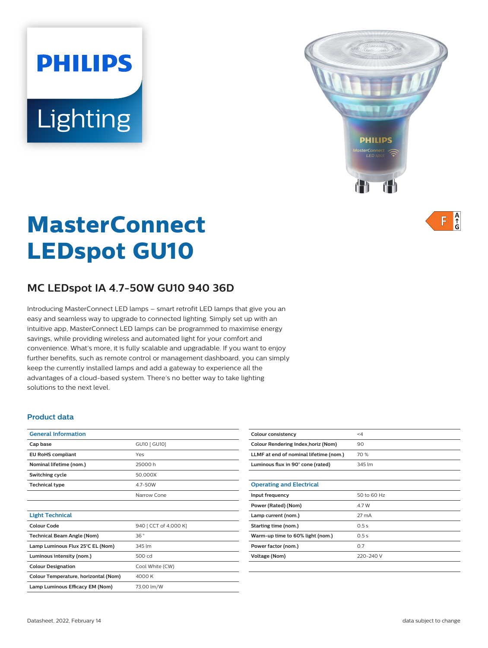# **PHILIPS** Lighting



 $A$ <sub> $\uparrow$ </sub> F

# **MasterConnect LEDspot GU10**

# **MC LEDspot IA 4.7-50W GU10 940 36D**

Introducing MasterConnect LED lamps – smart retrofit LED lamps that give you an easy and seamless way to upgrade to connected lighting. Simply set up with an intuitive app, MasterConnect LED lamps can be programmed to maximise energy savings, while providing wireless and automated light for your comfort and convenience. What's more, it is fully scalable and upgradable. If you want to enjoy further benefits, such as remote control or management dashboard, you can simply keep the currently installed lamps and add a gateway to experience all the advantages of a cloud-based system. There's no better way to take lighting solutions to the next level.

#### **Product data**

| <b>General Information</b>           |                       |
|--------------------------------------|-----------------------|
| Cap base                             | GU10 [ GU10]          |
| <b>EU RoHS compliant</b>             | Yes                   |
| Nominal lifetime (nom.)              | 25000 h               |
| Switching cycle                      | 50,000X               |
| <b>Technical type</b>                | 4.7-50W               |
|                                      | Narrow Cone           |
|                                      |                       |
| <b>Light Technical</b>               |                       |
| Colour Code                          | 940 [ CCT of 4,000 K] |
| <b>Technical Beam Angle (Nom)</b>    | 36°                   |
| Lamp Luminous Flux 25°C EL (Nom)     | 345 lm                |
| Luminous intensity (nom.)            | 500 cd                |
| <b>Colour Designation</b>            | Cool White (CW)       |
| Colour Temperature, horizontal (Nom) | 4000K                 |
| Lamp Luminous Efficacy EM (Nom)      | 73.00 lm/W            |

| Colour consistency                     | $\leq 4$    |
|----------------------------------------|-------------|
| Colour Rendering Index, horiz (Nom)    | 90          |
| LLMF at end of nominal lifetime (nom.) | 70 %        |
| Luminous flux in 90° cone (rated)      | 345 lm      |
|                                        |             |
| <b>Operating and Electrical</b>        |             |
| Input frequency                        | 50 to 60 Hz |
| Power (Rated) (Nom)                    | 4.7 W       |
| Lamp current (nom.)                    | 27 mA       |
| Starting time (nom.)                   | 0.5s        |
| Warm-up time to 60% light (nom.)       | 0.5s        |
| Power factor (nom.)                    | 0.7         |
| Voltage (Nom)                          | 220-240 V   |
|                                        |             |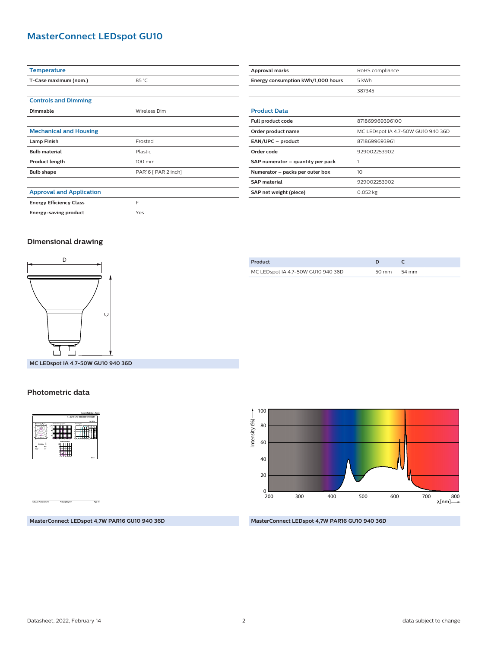## **MasterConnect LEDspot GU10**

| <b>Temperature</b>              |                     |  |
|---------------------------------|---------------------|--|
| T-Case maximum (nom.)           | 85 °C               |  |
|                                 |                     |  |
| <b>Controls and Dimming</b>     |                     |  |
| <b>Dimmable</b>                 | Wireless Dim        |  |
|                                 |                     |  |
| <b>Mechanical and Housing</b>   |                     |  |
| <b>Lamp Finish</b>              | Frosted             |  |
| <b>Bulb material</b>            | Plastic             |  |
| Product length                  | 100 mm              |  |
| <b>Bulb shape</b>               | PAR16 [ PAR 2 inch] |  |
|                                 |                     |  |
| <b>Approval and Application</b> |                     |  |
| <b>Energy Efficiency Class</b>  | F                   |  |
| Energy-saving product           | Yes                 |  |

| <b>Approval marks</b>              | RoHS compliance                    |
|------------------------------------|------------------------------------|
| Energy consumption kWh/1,000 hours | 5 kWh                              |
|                                    | 387345                             |
|                                    |                                    |
| <b>Product Data</b>                |                                    |
| Full product code                  | 871869969396100                    |
| Order product name                 | MC LEDspot IA 4.7-50W GU10 940 36D |
| EAN/UPC - product                  | 8718699693961                      |
| Order code                         | 929002253902                       |
| SAP numerator – quantity per pack  |                                    |
| Numerator – packs per outer box    | 10                                 |
| <b>SAP</b> material                | 929002253902                       |
| SAP net weight (piece)             | $0.052$ kg                         |

#### **Dimensional drawing**



**MC LEDspot IA 4.7-50W GU10 940 36D**

#### **Photometric data**



**Product D C** MC LEDspot IA 4.7-50W GU10 940 36D 50 mm 54 mm



#### **MasterConnect LEDspot 4,7W PAR16 GU10 940 36D**

**MasterConnect LEDspot 4,7W PAR16 GU10 940 36D**